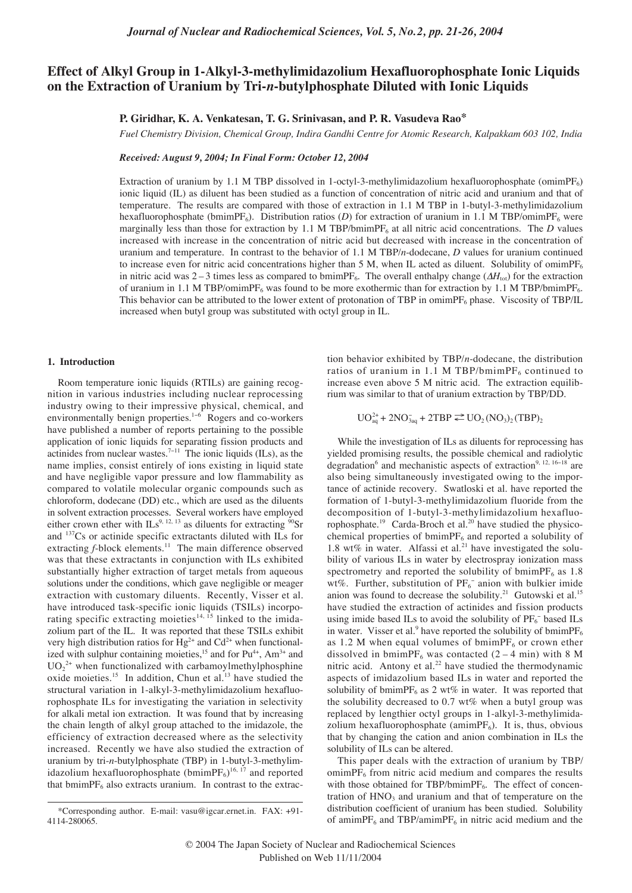# **Effect of Alkyl Group in 1-Alkyl-3-methylimidazolium Hexafluorophosphate Ionic Liquids on the Extraction of Uranium by Tri-***n***-butylphosphate Diluted with Ionic Liquids**

**P. Giridhar, K. A. Venkatesan, T. G. Srinivasan, and P. R. Vasudeva Rao\***

*Fuel Chemistry Division, Chemical Group, Indira Gandhi Centre for Atomic Research, Kalpakkam 603 102, India*

*Received: August 9, 2004; In Final Form: October 12, 2004*

Extraction of uranium by 1.1 M TBP dissolved in 1-octyl-3-methylimidazolium hexafluorophosphate (omimPF $_6$ ) ionic liquid (IL) as diluent has been studied as a function of concentration of nitric acid and uranium and that of temperature. The results are compared with those of extraction in 1.1 M TBP in 1-butyl-3-methylimidazolium hexafluorophosphate (bmimPF<sub>6</sub>). Distribution ratios (*D*) for extraction of uranium in 1.1 M TBP/omimPF<sub>6</sub> were marginally less than those for extraction by 1.1 M TBP/bmimPF<sub>6</sub> at all nitric acid concentrations. The *D* values increased with increase in the concentration of nitric acid but decreased with increase in the concentration of uranium and temperature. In contrast to the behavior of 1.1 M TBP/*n*-dodecane, *D* values for uranium continued to increase even for nitric acid concentrations higher than 5 M, when IL acted as diluent. Solubility of omimPF<sub>6</sub> in nitric acid was 2 – 3 times less as compared to bmimPF<sub>6</sub>. The overall enthalpy change ( $\Delta H_{\text{tot}}$ ) for the extraction of uranium in 1.1 M TBP/omimPF<sub>6</sub> was found to be more exothermic than for extraction by 1.1 M TBP/bmimPF<sub>6</sub>. This behavior can be attributed to the lower extent of protonation of TBP in omimPF<sub>6</sub> phase. Viscosity of TBP/IL increased when butyl group was substituted with octyl group in IL.

#### **1. Introduction**

Room temperature ionic liquids (RTILs) are gaining recognition in various industries including nuclear reprocessing industry owing to their impressive physical, chemical, and environmentally benign properties.<sup>1-6</sup> Rogers and co-workers have published a number of reports pertaining to the possible application of ionic liquids for separating fission products and actinides from nuclear wastes.7−<sup>11</sup> The ionic liquids (ILs), as the name implies, consist entirely of ions existing in liquid state and have negligible vapor pressure and low flammability as compared to volatile molecular organic compounds such as chloroform, dodecane (DD) etc., which are used as the diluents in solvent extraction processes. Several workers have employed In solvent extraction processes. Several worked that  $\frac{1}{2}$  as diluents for extracting <sup>90</sup>Sr and 137Cs or actinide specific extractants diluted with ILs for extracting *f*-block elements.<sup>11</sup> The main difference observed was that these extractants in conjunction with ILs exhibited substantially higher extraction of target metals from aqueous solutions under the conditions, which gave negligible or meager extraction with customary diluents. Recently, Visser et al. have introduced task-specific ionic liquids (TSILs) incorporating specific extracting moieties<sup>14, 15</sup> linked to the imidazolium part of the IL. It was reported that these TSILs exhibit very high distribution ratios for  $\text{Hg}^{2+}$  and  $\text{Cd}^{2+}$  when functionalized with sulphur containing moieties,<sup>15</sup> and for Pu<sup>4+</sup>, Am<sup>3+</sup> and  $UO_2^{2+}$  when functionalized with carbamoylmethylphosphine oxide moieties.<sup>15</sup> In addition, Chun et al.<sup>13</sup> have studied the structural variation in 1-alkyl-3-methylimidazolium hexafluorophosphate ILs for investigating the variation in selectivity for alkali metal ion extraction. It was found that by increasing the chain length of alkyl group attached to the imidazole, the efficiency of extraction decreased where as the selectivity increased. Recently we have also studied the extraction of uranium by tri-*n*-butylphosphate (TBP) in 1-butyl-3-methylimidazolium hexafluorophosphate  $(bmimPF_6)^{16, 17}$  and reported that bmim $PF_6$  also extracts uranium. In contrast to the extraction behavior exhibited by TBP/*n*-dodecane, the distribution ratios of uranium in 1.1 M TBP/bmimP $F_6$  continued to increase even above 5 M nitric acid. The extraction equilibrium was similar to that of uranium extraction by TBP/DD.

$$
UO_{aq}^{2+} + 2NO_{3aq}^- + 2TBP \rightleftarrows UO_2 (NO_3)_2 (TBP)_2
$$

While the investigation of ILs as diluents for reprocessing has yielded promising results, the possible chemical and radiolytic degradation<sup>6</sup> and mechanistic aspects of extraction<sup>9, 12, 16−18</sup> are also being simultaneously investigated owing to the importance of actinide recovery. Swatloski et al. have reported the formation of 1-butyl-3-methylimidazolium fluoride from the decomposition of 1-butyl-3-methylimidazolium hexafluorophosphate.<sup>19</sup> Carda-Broch et al.<sup>20</sup> have studied the physicochemical properties of bmimPF<sub>6</sub> and reported a solubility of 1.8 wt% in water. Alfassi et al.<sup>21</sup> have investigated the solubility of various ILs in water by electrospray ionization mass spectrometry and reported the solubility of bmimPF<sub>6</sub> as  $1.8$ wt%. Further, substitution of  $PF_6^-$  anion with bulkier imide anion was found to decrease the solubility.<sup>21</sup> Gutowski et al.<sup>15</sup> have studied the extraction of actinides and fission products using imide based ILs to avoid the solubility of  $PF_6^-$  based ILs in water. Visser et al.<sup>9</sup> have reported the solubility of bmimPF<sub>6</sub> as 1.2 M when equal volumes of bmimP $F_6$  or crown ether dissolved in bmimPF<sub>6</sub> was contacted  $(2 - 4 \text{ min})$  with 8 M nitric acid. Antony et al.<sup>22</sup> have studied the thermodynamic aspects of imidazolium based ILs in water and reported the solubility of bmimPF<sub>6</sub> as 2 wt% in water. It was reported that the solubility decreased to 0.7 wt% when a butyl group was replaced by lengthier octyl groups in 1-alkyl-3-methylimidazolium hexafluorophosphate (amim $PF_6$ ). It is, thus, obvious that by changing the cation and anion combination in ILs the solubility of ILs can be altered.

This paper deals with the extraction of uranium by TBP/  $ominPF<sub>6</sub>$  from nitric acid medium and compares the results with those obtained for TBP/bmimPF $_6$ . The effect of concentration of  $HNO<sub>3</sub>$  and uranium and that of temperature on the distribution coefficient of uranium has been studied. Solubility of amimPF $_6$  and TBP/amimPF $_6$  in nitric acid medium and the

<sup>\*</sup>Corresponding author. E-mail: vasu@igcar.ernet.in. FAX: +91- 4114-280065.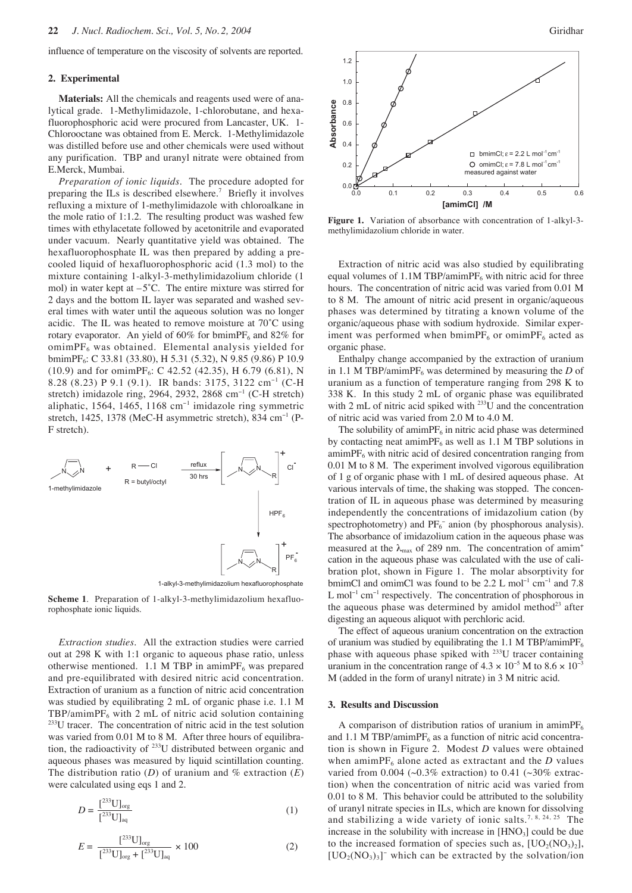influence of temperature on the viscosity of solvents are reported.

### **2. Experimental**

**Materials:** All the chemicals and reagents used were of analytical grade. 1-Methylimidazole, 1-chlorobutane, and hexafluorophosphoric acid were procured from Lancaster, UK. 1- Chlorooctane was obtained from E. Merck. 1-Methylimidazole was distilled before use and other chemicals were used without any purification. TBP and uranyl nitrate were obtained from E.Merck, Mumbai.

*Preparation of ionic liquids.* The procedure adopted for preparing the ILs is described elsewhere.7 Briefly it involves refluxing a mixture of 1-methylimidazole with chloroalkane in the mole ratio of 1:1.2. The resulting product was washed few times with ethylacetate followed by acetonitrile and evaporated under vacuum. Nearly quantitative yield was obtained. The hexafluorophosphate IL was then prepared by adding a precooled liquid of hexafluorophosphoric acid (1.3 mol) to the mixture containing 1-alkyl-3-methylimidazolium chloride (1 mol) in water kept at  $-5^{\circ}$ C. The entire mixture was stirred for 2 days and the bottom IL layer was separated and washed several times with water until the aqueous solution was no longer acidic. The IL was heated to remove moisture at 70˚C using rotary evaporator. An yield of 60% for bmimPF<sub>6</sub> and 82% for  $o$ mimP $F_6$  was obtained. Elemental analysis yielded for bmimPF<sub>6</sub>: C 33.81 (33.80), H 5.31 (5.32), N 9.85 (9.86) P 10.9  $(10.9)$  and for omimPF<sub>6</sub>: C 42.52 (42.35), H 6.79 (6.81), N 8.28 (8.23) P 9.1 (9.1). IR bands: 3175, 3122 cm<sup>-1</sup> (C-H stretch) imidazole ring, 2964, 2932, 2868 cm<sup>−</sup><sup>1</sup> (C-H stretch) aliphatic, 1564, 1465, 1168 cm<sup>−</sup><sup>1</sup> imidazole ring symmetric stretch, 1425, 1378 (MeC-H asymmetric stretch), 834 cm<sup>-1</sup> (P-F stretch).



1-alkyl-3-methylimidazolium hexafluorophosphate

**Scheme 1**. Preparation of 1-alkyl-3-methylimidazolium hexafluorophosphate ionic liquids.

*Extraction studies.* All the extraction studies were carried out at 298 K with 1:1 organic to aqueous phase ratio, unless otherwise mentioned. 1.1 M TBP in amimPF $_6$  was prepared and pre-equilibrated with desired nitric acid concentration. Extraction of uranium as a function of nitric acid concentration was studied by equilibrating 2 mL of organic phase i.e. 1.1 M  $TBP/aminPF_6$  with 2 mL of nitric acid solution containing 233U tracer. The concentration of nitric acid in the test solution was varied from 0.01 M to 8 M. After three hours of equilibration, the radioactivity of 233U distributed between organic and aqueous phases was measured by liquid scintillation counting. The distribution ratio  $(D)$  of uranium and % extraction  $(E)$ were calculated using eqs 1 and 2.

$$
D = \frac{[^{233} \text{U}]_{\text{org}}}{[^{233} \text{U}]_{\text{aq}}}
$$
 (1)

$$
E = \frac{[^{233} \text{U}]_{\text{org}}}{[^{233} \text{U}]_{\text{org}}} +[^{233} \text{U}]_{\text{aq}} \times 100 \tag{2}
$$



**Figure 1.** Variation of absorbance with concentration of 1-alkyl-3 methylimidazolium chloride in water.

Extraction of nitric acid was also studied by equilibrating equal volumes of 1.1M TBP/amimP $F_6$  with nitric acid for three hours. The concentration of nitric acid was varied from 0.01 M to 8 M. The amount of nitric acid present in organic/aqueous phases was determined by titrating a known volume of the organic/aqueous phase with sodium hydroxide. Similar experiment was performed when bmimP $F_6$  or omimP $F_6$  acted as organic phase.

Enthalpy change accompanied by the extraction of uranium in 1.1 M TBP/amimPF<sub>6</sub> was determined by measuring the *D* of uranium as a function of temperature ranging from 298 K to 338 K. In this study 2 mL of organic phase was equilibrated with 2 mL of nitric acid spiked with  $^{233}$ U and the concentration of nitric acid was varied from 2.0 M to 4.0 M.

The solubility of amimP $F_6$  in nitric acid phase was determined by contacting neat amimPF $_6$  as well as 1.1 M TBP solutions in  $amimPF<sub>6</sub>$  with nitric acid of desired concentration ranging from 0.01 M to 8 M. The experiment involved vigorous equilibration of 1 g of organic phase with 1 mL of desired aqueous phase. At various intervals of time, the shaking was stopped. The concentration of IL in aqueous phase was determined by measuring independently the concentrations of imidazolium cation (by spectrophotometry) and  $PF_6^-$  anion (by phosphorous analysis). The absorbance of imidazolium cation in the aqueous phase was measured at the  $\lambda_{\text{max}}$  of 289 nm. The concentration of amim<sup>+</sup> cation in the aqueous phase was calculated with the use of calibration plot, shown in Figure 1. The molar absorptivity for bmimCl and omimCl was found to be 2.2 L mol<sup>−</sup><sup>1</sup> cm<sup>−</sup><sup>1</sup> and 7.8 L mol<sup>-1</sup> cm<sup>-1</sup> respectively. The concentration of phosphorous in the aqueous phase was determined by amidol method<sup>23</sup> after digesting an aqueous aliquot with perchloric acid.

The effect of aqueous uranium concentration on the extraction of uranium was studied by equilibrating the 1.1 M TBP/amimPF $_6$ phase with aqueous phase spiked with 233U tracer containing uranium in the concentration range of  $4.3 \times 10^{-5}$  M to  $8.6 \times 10^{-3}$ M (added in the form of uranyl nitrate) in 3 M nitric acid.

#### **3. Results and Discussion**

A comparison of distribution ratios of uranium in amimP $F_6$ and 1.1 M TBP/amimPF $_6$  as a function of nitric acid concentration is shown in Figure 2. Modest *D* values were obtained when amimP $F_6$  alone acted as extractant and the *D* values varied from 0.004 ( $\sim$ 0.3% extraction) to 0.41 ( $\sim$ 30% extraction) when the concentration of nitric acid was varied from 0.01 to 8 M. This behavior could be attributed to the solubility of uranyl nitrate species in ILs, which are known for dissolving and stabilizing a wide variety of ionic salts.<sup>7, 8, 24, 25</sup> The increase in the solubility with increase in  $[HNO<sub>3</sub>]$  could be due to the increased formation of species such as,  $[UO<sub>2</sub>(NO<sub>3</sub>)<sub>2</sub>]$ ,  $[UO_2(NO_3)_3]$ <sup>-</sup> which can be extracted by the solvation/ion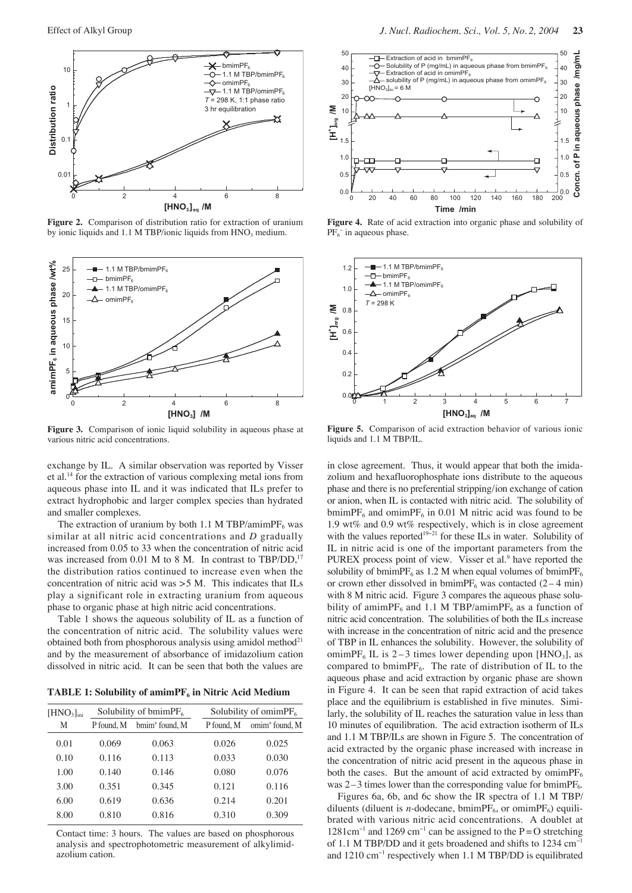

**Figure 2.** Comparison of distribution ratio for extraction of uranium by ionic liquids and  $1.1$  M TBP/ionic liquids from  $HNO<sub>3</sub>$  medium.



Figure 3. Comparison of ionic liquid solubility in aqueous phase at various nitric acid concentrations.

exchange by IL. A similar observation was reported by Visser et al.14 for the extraction of various complexing metal ions from aqueous phase into IL and it was indicated that ILs prefer to extract hydrophobic and larger complex species than hydrated and smaller complexes.

The extraction of uranium by both 1.1 M TBP/amimPF $_6$  was similar at all nitric acid concentrations and *D* gradually increased from 0.05 to 33 when the concentration of nitric acid was increased from  $0.01$  M to 8 M. In contrast to TBP/DD,<sup>1</sup> the distribution ratios continued to increase even when the concentration of nitric acid was >5 M. This indicates that ILs play a significant role in extracting uranium from aqueous phase to organic phase at high nitric acid concentrations.

Table 1 shows the aqueous solubility of IL as a function of the concentration of nitric acid. The solubility values were obtained both from phosphorous analysis using amidol method<sup>21</sup> and by the measurement of absorbance of imidazolium cation dissolved in nitric acid. It can be seen that both the values are

TABLE 1: Solubility of amimPF<sub>6</sub> in Nitric Acid Medium

| [HNO <sub>3</sub> ] <sub>ini</sub> | Solubility of bmim $PF_6$ |                            | Solubility of omimP $F_6$ |                            |
|------------------------------------|---------------------------|----------------------------|---------------------------|----------------------------|
| M                                  | P found, M                | bmim <sup>+</sup> found, M | P found, M                | omim <sup>+</sup> found, M |
| 0.01                               | 0.069                     | 0.063                      | 0.026                     | 0.025                      |
| 0.10                               | 0.116                     | 0.113                      | 0.033                     | 0.030                      |
| 1.00                               | 0.140                     | 0.146                      | 0.080                     | 0.076                      |
| 3.00                               | 0.351                     | 0.345                      | 0.121                     | 0.116                      |
| 6.00                               | 0.619                     | 0.636                      | 0.214                     | 0.201                      |
| 8.00                               | 0.810                     | 0.816                      | 0.310                     | 0.309                      |

Contact time: 3 hours. The values are based on phosphorous analysis and spectrophotometric measurement of alkylimidazolium cation.



**Figure 4.** Rate of acid extraction into organic phase and solubility of PF<sub>6</sub><sup>-</sup> in aqueous phase.



**Figure 5.** Comparison of acid extraction behavior of various ionic liquids and 1.1 M TBP/IL.

in close agreement. Thus, it would appear that both the imidazolium and hexafluorophosphate ions distribute to the aqueous phase and there is no preferential stripping/ion exchange of cation or anion, when IL is contacted with nitric acid. The solubility of bmimPF<sub>6</sub> and omimPF<sub>6</sub> in 0.01 M nitric acid was found to be 1.9 wt% and 0.9 wt% respectively, which is in close agreement with the values reported<sup>19−21</sup> for these ILs in water. Solubility of IL in nitric acid is one of the important parameters from the PUREX process point of view. Visser et al.<sup>9</sup> have reported the solubility of bmimPF<sub>6</sub> as 1.2 M when equal volumes of bmimPF<sub>6</sub> or crown ether dissolved in bmimPF<sub>6</sub> was contacted  $(2 - 4 \text{ min})$ with 8 M nitric acid. Figure 3 compares the aqueous phase solubility of amimPF<sub>6</sub> and 1.1 M TBP/amimPF<sub>6</sub> as a function of nitric acid concentration. The solubilities of both the ILs increase with increase in the concentration of nitric acid and the presence of TBP in IL enhances the solubility. However, the solubility of omimPF<sub>6</sub> IL is 2–3 times lower depending upon [HNO<sub>3</sub>], as compared to bmimPF<sub>6</sub>. The rate of distribution of IL to the aqueous phase and acid extraction by organic phase are shown in Figure 4. It can be seen that rapid extraction of acid takes place and the equilibrium is established in five minutes. Similarly, the solubility of IL reaches the saturation value in less than 10 minutes of equilibration. The acid extraction isotherm of ILs and 1.1 M TBP/ILs are shown in Figure 5. The concentration of acid extracted by the organic phase increased with increase in the concentration of nitric acid present in the aqueous phase in both the cases. But the amount of acid extracted by omimP $F_6$ was  $2-3$  times lower than the corresponding value for bmimPF<sub>6</sub>.

Figures 6a, 6b, and 6c show the IR spectra of 1.1 M TBP/ diluents (diluent is *n*-dodecane, bmimP $F_6$ , or omimP $F_6$ ) equilibrated with various nitric acid concentrations. A doublet at  $1281 \text{cm}^{-1}$  and  $1269 \text{cm}^{-1}$  can be assigned to the P = O stretching of 1.1 M TBP/DD and it gets broadened and shifts to 1234 cm<sup>−</sup><sup>1</sup> and 1210 cm<sup>−</sup><sup>1</sup> respectively when 1.1 M TBP/DD is equilibrated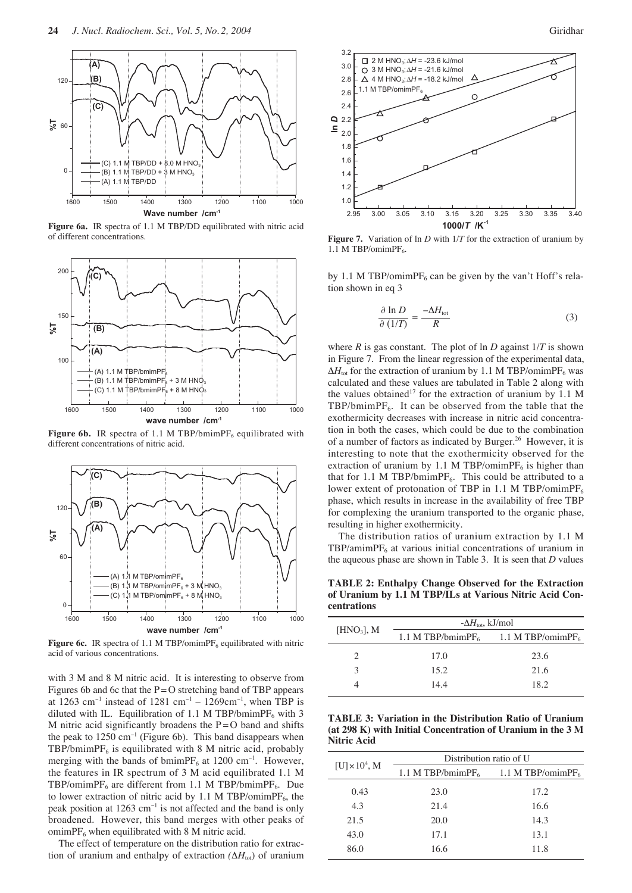

**Figure 6a.** IR spectra of 1.1 M TBP/DD equilibrated with nitric acid of different concentrations.



**Figure 6b.** IR spectra of 1.1 M TBP/bmimPF<sub>6</sub> equilibrated with different concentrations of nitric acid.



**Figure 6c.** IR spectra of 1.1 M TBP/omimPF<sub>6</sub> equilibrated with nitric acid of various concentrations.

with 3 M and 8 M nitric acid. It is interesting to observe from Figures 6b and 6c that the  $P = O$  stretching band of TBP appears at 1263 cm<sup>-1</sup> instead of 1281 cm<sup>-1</sup> – 1269cm<sup>-1</sup>, when TBP is diluted with IL. Equilibration of 1.1 M TBP/bmimPF<sub>6</sub> with 3 M nitric acid significantly broadens the  $P = O$  band and shifts the peak to 1250 cm<sup>−</sup><sup>1</sup> (Figure 6b). This band disappears when  $TBP/bmimPF<sub>6</sub>$  is equilibrated with 8 M nitric acid, probably merging with the bands of bmimPF<sub>6</sub> at 1200 cm<sup>-1</sup>. However, the features in IR spectrum of 3 M acid equilibrated 1.1 M TBP/omimPF<sub>6</sub> are different from 1.1 M TBP/bmimPF<sub>6</sub>. Due to lower extraction of nitric acid by 1.1 M TBP/omimPF<sub>6</sub>, the peak position at 1263 cm<sup>-1</sup> is not affected and the band is only broadened. However, this band merges with other peaks of  $ominPF<sub>6</sub>$  when equilibrated with 8 M nitric acid.

The effect of temperature on the distribution ratio for extraction of uranium and enthalpy of extraction  $(\Delta H_{\text{tot}})$  of uranium



**Figure 7.** Variation of ln *D* with 1/*T* for the extraction of uranium by 1.1 M TBP/omimP $F_6$ .

by 1.1 M TBP/omimPF<sub>6</sub> can be given by the van't Hoff's relation shown in eq 3

$$
\frac{\partial \ln D}{\partial (1/T)} = \frac{-\Delta H_{\text{tot}}}{R} \tag{3}
$$

where  $R$  is gas constant. The plot of  $\ln D$  against  $1/T$  is shown in Figure 7. From the linear regression of the experimental data,  $\Delta H_{\text{tot}}$  for the extraction of uranium by 1.1 M TBP/omimPF<sub>6</sub> was calculated and these values are tabulated in Table 2 along with the values obtained<sup>17</sup> for the extraction of uranium by 1.1 M TBP/bmimPF<sub>6</sub>. It can be observed from the table that the exothermicity decreases with increase in nitric acid concentration in both the cases, which could be due to the combination of a number of factors as indicated by Burger.<sup>26</sup> However, it is interesting to note that the exothermicity observed for the extraction of uranium by 1.1 M TBP/omimP $F_6$  is higher than that for 1.1 M TBP/bmimPF $_6$ . This could be attributed to a lower extent of protonation of TBP in 1.1 M TBP/omimPF $_6$ phase, which results in increase in the availability of free TBP for complexing the uranium transported to the organic phase, resulting in higher exothermicity.

The distribution ratios of uranium extraction by 1.1 M  $TBP/amimPF<sub>6</sub>$  at various initial concentrations of uranium in the aqueous phase are shown in Table 3. It is seen that *D* values

**TABLE 2: Enthalpy Change Observed for the Extraction of Uranium by 1.1 M TBP/ILs at Various Nitric Acid Concentrations** 

|               | $-\Delta H_{\text{tot}}$ , kJ/mol |                                                             |  |  |
|---------------|-----------------------------------|-------------------------------------------------------------|--|--|
| $[HNO_3]$ , M |                                   | 1.1 M TBP/bmimPF <sub>6</sub> 1.1 M TBP/omimPF <sub>6</sub> |  |  |
|               | 17.0                              | 23.6                                                        |  |  |
| 2             | 15.2                              | 21.6                                                        |  |  |
|               | 14.4                              | 18.2                                                        |  |  |
|               |                                   |                                                             |  |  |

**TABLE 3: Variation in the Distribution Ratio of Uranium (at 298 K) with Initial Concentration of Uranium in the 3 M Nitric Acid**

|                       | Distribution ratio of U |                       |  |  |
|-----------------------|-------------------------|-----------------------|--|--|
| $[U] \times 10^4$ , M | 1.1 M TBP/bmimPF $_6$   | 1.1 M TBP/omimP $F_6$ |  |  |
| 0.43                  | 23.0                    | 17.2                  |  |  |
| 4.3                   | 21.4                    | 16.6                  |  |  |
| 21.5                  | 20.0                    | 14.3                  |  |  |
| 43.0                  | 17.1                    | 13.1                  |  |  |
| 86.0                  | 16.6                    | 11.8                  |  |  |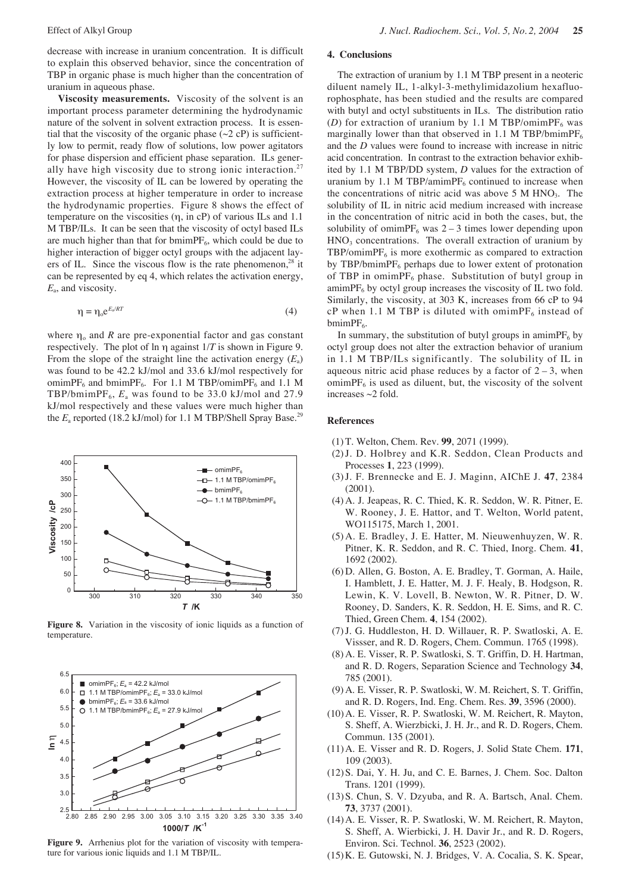decrease with increase in uranium concentration. It is difficult to explain this observed behavior, since the concentration of TBP in organic phase is much higher than the concentration of uranium in aqueous phase.

**Viscosity measurements.** Viscosity of the solvent is an important process parameter determining the hydrodynamic nature of the solvent in solvent extraction process. It is essential that the viscosity of the organic phase  $(\sim 2 \text{ cP})$  is sufficiently low to permit, ready flow of solutions, low power agitators for phase dispersion and efficient phase separation. ILs generally have high viscosity due to strong ionic interaction.<sup>27</sup> However, the viscosity of IL can be lowered by operating the extraction process at higher temperature in order to increase the hydrodynamic properties. Figure 8 shows the effect of temperature on the viscosities (η, in cP) of various ILs and 1.1 M TBP/ILs. It can be seen that the viscosity of octyl based ILs are much higher than that for bmimP $F_6$ , which could be due to higher interaction of bigger octyl groups with the adjacent layers of IL. Since the viscous flow is the rate phenomenon, $^{28}$  it can be represented by eq 4, which relates the activation energy, *E*a, and viscosity.

$$
\eta = \eta_{\circ} e^{E_a/RT} \tag{4}
$$

where  $\eta_0$  and *R* are pre-exponential factor and gas constant respectively. The plot of ln η against 1/*T* is shown in Figure 9. From the slope of the straight line the activation energy  $(E_a)$ was found to be 42.2 kJ/mol and 33.6 kJ/mol respectively for omimPF<sub>6</sub> and bmimPF<sub>6</sub>. For 1.1 M TBP/omimPF<sub>6</sub> and 1.1 M TBP/bmimPF<sub>6</sub>,  $E_a$  was found to be 33.0 kJ/mol and 27.9 kJ/mol respectively and these values were much higher than the  $E_a$  reported (18.2 kJ/mol) for 1.1 M TBP/Shell Spray Base.<sup>29</sup>



**Figure 8.** Variation in the viscosity of ionic liquids as a function of temperature.



**Figure 9.** Arrhenius plot for the variation of viscosity with temperature for various ionic liquids and 1.1 M TBP/IL.

#### **4. Conclusions**

The extraction of uranium by 1.1 M TBP present in a neoteric diluent namely IL, 1-alkyl-3-methylimidazolium hexafluorophosphate, has been studied and the results are compared with butyl and octyl substituents in ILs. The distribution ratio (*D*) for extraction of uranium by 1.1 M TBP/omimPF<sub>6</sub> was marginally lower than that observed in 1.1 M TBP/bmimPF $_6$ and the *D* values were found to increase with increase in nitric acid concentration. In contrast to the extraction behavior exhibited by 1.1 M TBP/DD system, *D* values for the extraction of uranium by 1.1 M TBP/amimP $F_6$  continued to increase when the concentrations of nitric acid was above  $5 \text{ M HNO}_3$ . The solubility of IL in nitric acid medium increased with increase in the concentration of nitric acid in both the cases, but, the solubility of omimPF<sub>6</sub> was  $2 - 3$  times lower depending upon  $HNO<sub>3</sub>$  concentrations. The overall extraction of uranium by  $TBP/ominPF<sub>6</sub>$  is more exothermic as compared to extraction by TBP/bmimPF $_6$  perhaps due to lower extent of protonation of TBP in omimPF<sub>6</sub> phase. Substitution of butyl group in  $amimPF_6$  by octyl group increases the viscosity of IL two fold. Similarly, the viscosity, at 303 K, increases from 66 cP to 94 cP when 1.1 M TBP is diluted with omimPF<sub>6</sub> instead of bmim $PF_6$ .

In summary, the substitution of butyl groups in amimP $F_6$  by octyl group does not alter the extraction behavior of uranium in 1.1 M TBP/ILs significantly. The solubility of IL in aqueous nitric acid phase reduces by a factor of  $2-3$ , when  $ominPF<sub>6</sub>$  is used as diluent, but, the viscosity of the solvent increases  $\sim$ 2 fold.

## **References**

- (1) T. Welton, Chem. Rev. **99**, 2071 (1999).
- (2)J. D. Holbrey and K.R. Seddon, Clean Products and Processes **1**, 223 (1999).
- (3)J. F. Brennecke and E. J. Maginn, AIChE J. **47**, 2384 (2001).
- (4) A. J. Jeapeas, R. C. Thied, K. R. Seddon, W. R. Pitner, E. W. Rooney, J. E. Hattor, and T. Welton, World patent, WO115175, March 1, 2001.
- (5) A. E. Bradley, J. E. Hatter, M. Nieuwenhuyzen, W. R. Pitner, K. R. Seddon, and R. C. Thied, Inorg. Chem. **41**, 1692 (2002).
- (6) D. Allen, G. Boston, A. E. Bradley, T. Gorman, A. Haile, I. Hamblett, J. E. Hatter, M. J. F. Healy, B. Hodgson, R. Lewin, K. V. Lovell, B. Newton, W. R. Pitner, D. W. Rooney, D. Sanders, K. R. Seddon, H. E. Sims, and R. C. Thied, Green Chem. **4**, 154 (2002).
- (7)J. G. Huddleston, H. D. Willauer, R. P. Swatloski, A. E. Vissser, and R. D. Rogers, Chem. Commun. 1765 (1998).
- (8) A. E. Visser, R. P. Swatloski, S. T. Griffin, D. H. Hartman, and R. D. Rogers, Separation Science and Technology **34**, 785 (2001).
- (9) A. E. Visser, R. P. Swatloski, W. M. Reichert, S. T. Griffin, and R. D. Rogers, Ind. Eng. Chem. Res. **39**, 3596 (2000).
- (10)A. E. Visser, R. P. Swatloski, W. M. Reichert, R. Mayton, S. Sheff, A. Wierzbicki, J. H. Jr., and R. D. Rogers, Chem. Commun. 135 (2001).
- (11)A. E. Visser and R. D. Rogers, J. Solid State Chem. **171**, 109 (2003).
- (12)S. Dai, Y. H. Ju, and C. E. Barnes, J. Chem. Soc. Dalton Trans. 1201 (1999).
- (13)S. Chun, S. V. Dzyuba, and R. A. Bartsch, Anal. Chem. **73**, 3737 (2001).
- (14)A. E. Visser, R. P. Swatloski, W. M. Reichert, R. Mayton, S. Sheff, A. Wierbicki, J. H. Davir Jr., and R. D. Rogers, Environ. Sci. Technol. **36**, 2523 (2002).
- (15)K. E. Gutowski, N. J. Bridges, V. A. Cocalia, S. K. Spear,